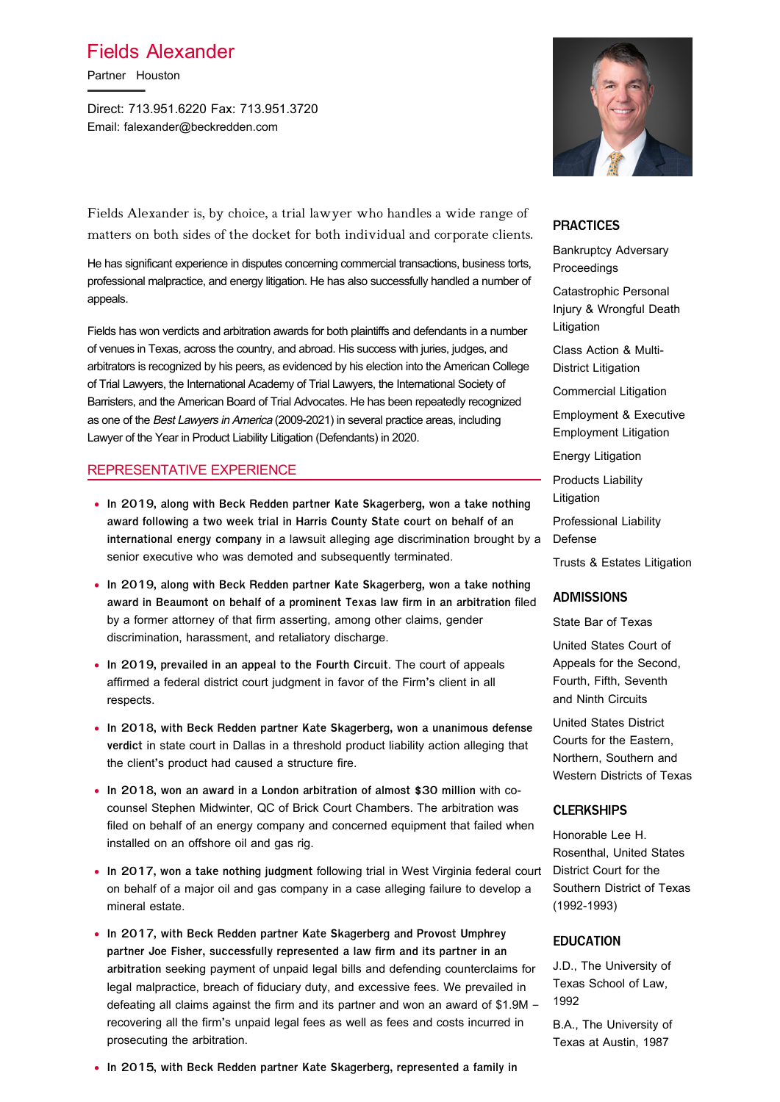## Fields Alexander

Partner Houston

Direct: 713.951.6220 Fax: 713.951.3720 Email: falexander@beckredden.com



Fields Alexander is, by choice, a trial lawyer who handles a wide range of matters on both sides of the docket for both individual and corporate clients.

He has significant experience in disputes concerning commercial transactions, business torts, professional malpractice, and energy litigation. He has also successfully handled a number of appeals.

Fields has won verdicts and arbitration awards for both plaintiffs and defendants in a number of venues in Texas, across the country, and abroad. His success with juries, judges, and arbitrators is recognized by his peers, as evidenced by his election into the American College of Trial Lawyers, the International Academy of Trial Lawyers, the International Society of Barristers, and the American Board of Trial Advocates. He has been repeatedly recognized as one of the Best Lawyers in America (2009-2021) in several practice areas, including Lawyer of the Year in Product Liability Litigation (Defendants) in 2020.

#### REPRESENTATIVE EXPERIENCE

- **In 2019, along with Beck Redden partner Kate Skagerberg, won a take nothing award following a two week trial in Harris County State court on behalf of an international energy company** in a lawsuit alleging age discrimination brought by a senior executive who was demoted and subsequently terminated.
- **In 2019, along with Beck Redden partner Kate Skagerberg, won a take nothing award in Beaumont on behalf of a prominent Texas law firm in an arbitration** filed by a former attorney of that firm asserting, among other claims, gender discrimination, harassment, and retaliatory discharge.
- **In 2019, prevailed in an appeal to the Fourth Circuit**. The court of appeals affirmed a federal district court judgment in favor of the Firm's client in all respects.
- **In 2018, with Beck Redden partner Kate Skagerberg, won a unanimous defense verdict** in state court in Dallas in a threshold product liability action alleging that the client's product had caused a structure fire.
- **In 2018, won an award in a London arbitration of almost \$30 million** with cocounsel Stephen Midwinter, QC of Brick Court Chambers. The arbitration was filed on behalf of an energy company and concerned equipment that failed when installed on an offshore oil and gas rig.
- **In 2017, won a take nothing judgment** following trial in West Virginia federal court on behalf of a major oil and gas company in a case alleging failure to develop a mineral estate.
- **In 2017, with Beck Redden partner Kate Skagerberg and Provost Umphrey partner Joe Fisher, successfully represented a law firm and its partner in an arbitration** seeking payment of unpaid legal bills and defending counterclaims for legal malpractice, breach of fiduciary duty, and excessive fees. We prevailed in defeating all claims against the firm and its partner and won an award of \$1.9M – recovering all the firm's unpaid legal fees as well as fees and costs incurred in prosecuting the arbitration.

# **PRACTICES**

Bankruptcy Adversary Proceedings

Catastrophic Personal Injury & Wrongful Death Litigation

Class Action & Multi-District Litigation

Commercial Litigation

Employment & Executive Employment Litigation

Energy Litigation

Products Liability **Litigation** 

Professional Liability

Defense

Trusts & Estates Litigation

#### **ADMISSIONS**

State Bar of Texas

United States Court of Appeals for the Second, Fourth, Fifth, Seventh and Ninth Circuits

United States District Courts for the Eastern, Northern, Southern and Western Districts of Texas

#### **CLERKSHIPS**

Honorable Lee H. Rosenthal, United States District Court for the Southern District of Texas (1992-1993)

#### **EDUCATION**

J.D., The University of Texas School of Law, 1992

B.A., The University of Texas at Austin, 1987

• **In 2015, with Beck Redden partner Kate Skagerberg, represented a family in**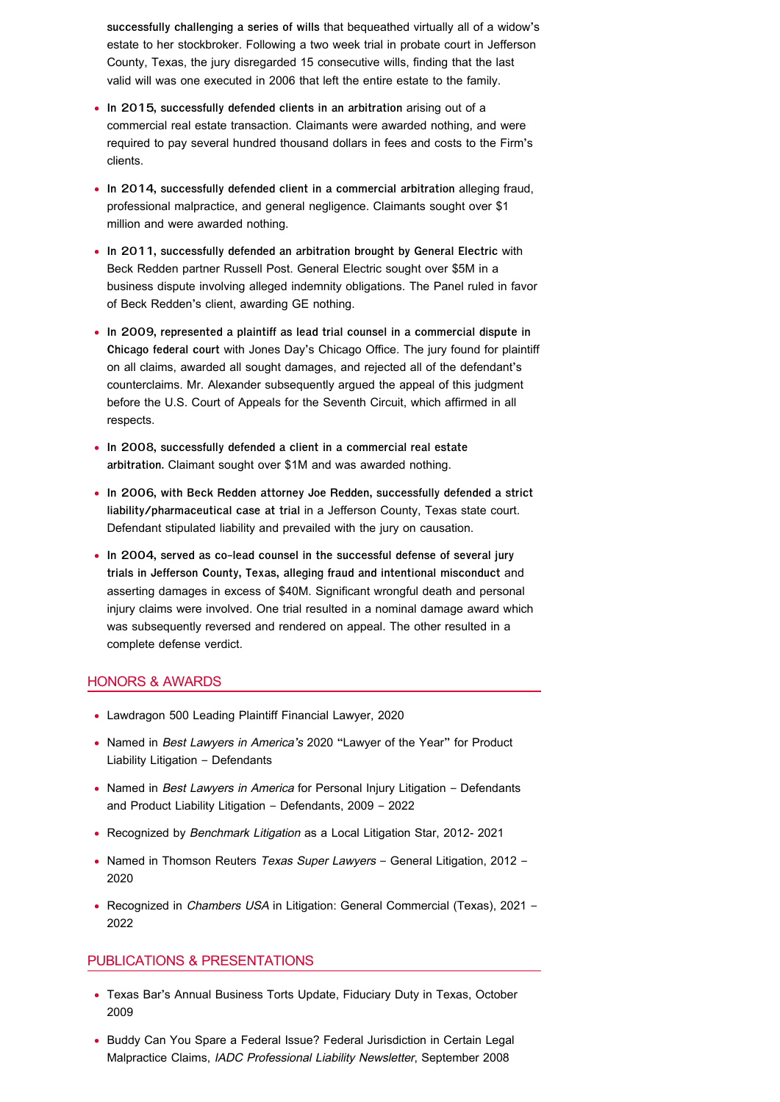**successfully challenging a series of wills** that bequeathed virtually all of a widow's estate to her stockbroker. Following a two week trial in probate court in Jefferson County, Texas, the jury disregarded 15 consecutive wills, finding that the last valid will was one executed in 2006 that left the entire estate to the family.

- **In 2015, successfully defended clients in an arbitration** arising out of a commercial real estate transaction. Claimants were awarded nothing, and were required to pay several hundred thousand dollars in fees and costs to the Firm's clients.
- **In 2014, successfully defended client in a commercial arbitration** alleging fraud, professional malpractice, and general negligence. Claimants sought over \$1 million and were awarded nothing.
- **In 2011, successfully defended an arbitration brought by General Electric** with Beck Redden partner Russell Post. General Electric sought over \$5M in a business dispute involving alleged indemnity obligations. The Panel ruled in favor of Beck Redden's client, awarding GE nothing.
- **In 2009, represented a plaintiff as lead trial counsel in a commercial dispute in Chicago federal court** with Jones Day's Chicago Office. The jury found for plaintiff on all claims, awarded all sought damages, and rejected all of the defendant's counterclaims. Mr. Alexander subsequently argued the appeal of this judgment before the U.S. Court of Appeals for the Seventh Circuit, which affirmed in all respects.
- **In 2008, successfully defended a client in a commercial real estate arbitration.** Claimant sought over \$1M and was awarded nothing.
- **In 2006, with Beck Redden attorney Joe Redden, successfully defended a strict liability/pharmaceutical case at trial** in a Jefferson County, Texas state court. Defendant stipulated liability and prevailed with the jury on causation.
- **In 2004, served as co-lead counsel in the successful defense of several jury trials in Jefferson County, Texas, alleging fraud and intentional misconduct** and asserting damages in excess of \$40M. Significant wrongful death and personal injury claims were involved. One trial resulted in a nominal damage award which was subsequently reversed and rendered on appeal. The other resulted in a complete defense verdict.

#### HONORS & AWARDS

- Lawdragon 500 Leading Plaintiff Financial Lawyer, 2020
- Named in Best Lawyers in America's 2020 "Lawyer of the Year" for Product Liability Litigation – Defendants
- Named in Best Lawyers in America for Personal Injury Litigation Defendants and Product Liability Litigation – Defendants, 2009 – 2022
- Recognized by Benchmark Litigation as a Local Litigation Star, 2012- 2021
- Named in Thomson Reuters Texas Super Lawyers General Litigation, 2012 -2020
- Recognized in Chambers USA in Litigation: General Commercial (Texas), 2021 -2022

#### PUBLICATIONS & PRESENTATIONS

- Texas Bar's Annual Business Torts Update, Fiduciary Duty in Texas, October 2009
- Buddy Can You Spare a Federal Issue? Federal Jurisdiction in Certain Legal Malpractice Claims, IADC Professional Liability Newsletter, September 2008